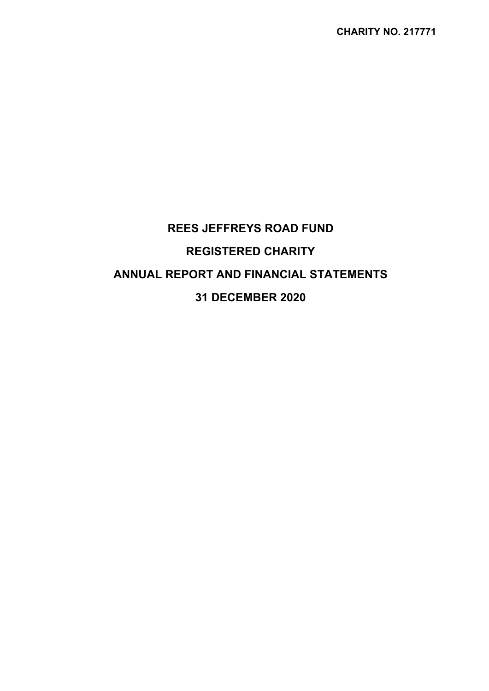# **REES JEFFREYS ROAD FUND REGISTERED CHARITY ANNUAL REPORT AND FINANCIAL STATEMENTS 31 DECEMBER 2020**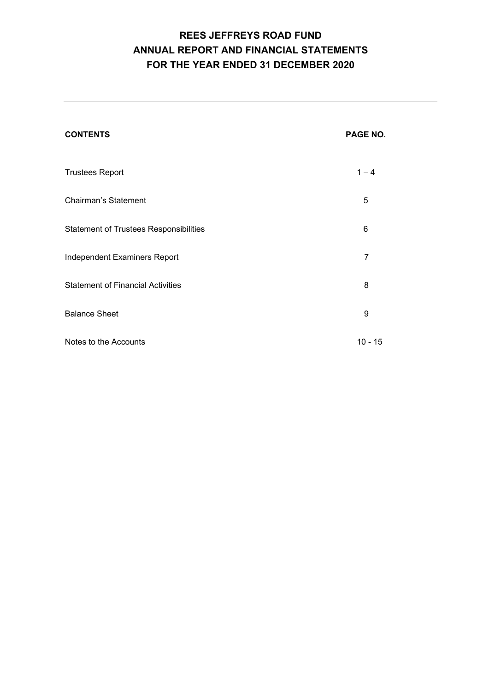# **REES JEFFREYS ROAD FUND ANNUAL REPORT AND FINANCIAL STATEMENTS FOR THE YEAR ENDED 31 DECEMBER 2020**

| <b>CONTENTS</b>                               | PAGE NO.       |
|-----------------------------------------------|----------------|
| <b>Trustees Report</b>                        | $1 - 4$        |
| <b>Chairman's Statement</b>                   | 5              |
| <b>Statement of Trustees Responsibilities</b> | 6              |
| Independent Examiners Report                  | $\overline{7}$ |
| <b>Statement of Financial Activities</b>      | 8              |
| <b>Balance Sheet</b>                          | 9              |
| Notes to the Accounts                         | $10 - 15$      |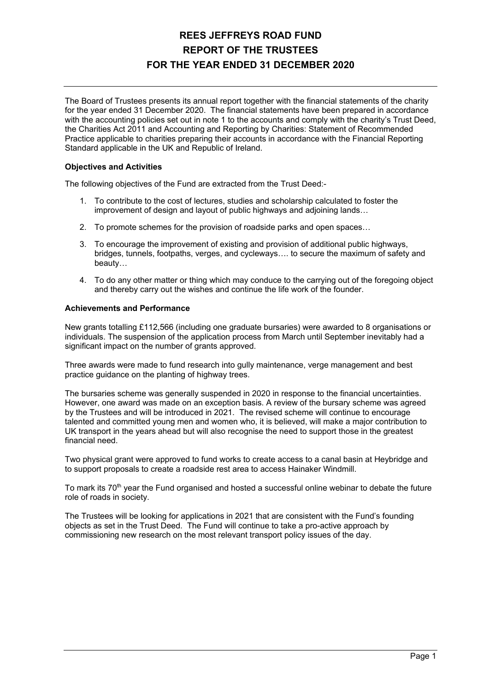# **REES JEFFREYS ROAD FUND REPORT OF THE TRUSTEES FOR THE YEAR ENDED 31 DECEMBER 2020**

The Board of Trustees presents its annual report together with the financial statements of the charity for the year ended 31 December 2020. The financial statements have been prepared in accordance with the accounting policies set out in note 1 to the accounts and comply with the charity's Trust Deed, the Charities Act 2011 and Accounting and Reporting by Charities: Statement of Recommended Practice applicable to charities preparing their accounts in accordance with the Financial Reporting Standard applicable in the UK and Republic of Ireland.

### **Objectives and Activities**

The following objectives of the Fund are extracted from the Trust Deed:-

- 1. To contribute to the cost of lectures, studies and scholarship calculated to foster the improvement of design and layout of public highways and adjoining lands…
- 2. To promote schemes for the provision of roadside parks and open spaces…
- 3. To encourage the improvement of existing and provision of additional public highways, bridges, tunnels, footpaths, verges, and cycleways…. to secure the maximum of safety and beauty…
- 4. To do any other matter or thing which may conduce to the carrying out of the foregoing object and thereby carry out the wishes and continue the life work of the founder.

### **Achievements and Performance**

New grants totalling £112,566 (including one graduate bursaries) were awarded to 8 organisations or individuals. The suspension of the application process from March until September inevitably had a significant impact on the number of grants approved.

Three awards were made to fund research into gully maintenance, verge management and best practice guidance on the planting of highway trees.

The bursaries scheme was generally suspended in 2020 in response to the financial uncertainties. However, one award was made on an exception basis. A review of the bursary scheme was agreed by the Trustees and will be introduced in 2021. The revised scheme will continue to encourage talented and committed young men and women who, it is believed, will make a major contribution to UK transport in the years ahead but will also recognise the need to support those in the greatest financial need.

Two physical grant were approved to fund works to create access to a canal basin at Heybridge and to support proposals to create a roadside rest area to access Hainaker Windmill.

To mark its 70<sup>th</sup> year the Fund organised and hosted a successful online webinar to debate the future role of roads in society.

The Trustees will be looking for applications in 2021 that are consistent with the Fund's founding objects as set in the Trust Deed. The Fund will continue to take a pro-active approach by commissioning new research on the most relevant transport policy issues of the day.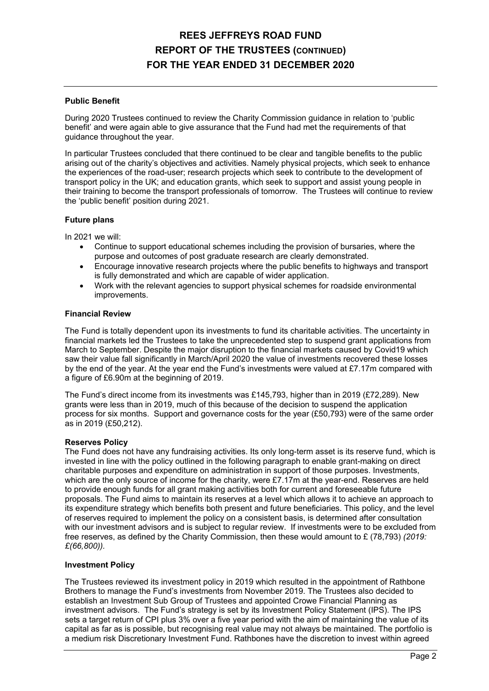# **REES JEFFREYS ROAD FUND REPORT OF THE TRUSTEES (CONTINUED) FOR THE YEAR ENDED 31 DECEMBER 2020**

### **Public Benefit**

During 2020 Trustees continued to review the Charity Commission guidance in relation to 'public benefit' and were again able to give assurance that the Fund had met the requirements of that guidance throughout the year.

In particular Trustees concluded that there continued to be clear and tangible benefits to the public arising out of the charity's objectives and activities. Namely physical projects, which seek to enhance the experiences of the road-user; research projects which seek to contribute to the development of transport policy in the UK; and education grants, which seek to support and assist young people in their training to become the transport professionals of tomorrow. The Trustees will continue to review the 'public benefit' position during 2021.

### **Future plans**

In 2021 we will:

- Continue to support educational schemes including the provision of bursaries, where the purpose and outcomes of post graduate research are clearly demonstrated.
- Encourage innovative research projects where the public benefits to highways and transport is fully demonstrated and which are capable of wider application.
- Work with the relevant agencies to support physical schemes for roadside environmental improvements.

### **Financial Review**

The Fund is totally dependent upon its investments to fund its charitable activities. The uncertainty in financial markets led the Trustees to take the unprecedented step to suspend grant applications from March to September. Despite the major disruption to the financial markets caused by Covid19 which saw their value fall significantly in March/April 2020 the value of investments recovered these losses by the end of the year. At the year end the Fund's investments were valued at £7.17m compared with a figure of £6.90m at the beginning of 2019.

The Fund's direct income from its investments was £145,793, higher than in 2019 (£72,289). New grants were less than in 2019, much of this because of the decision to suspend the application process for six months. Support and governance costs for the year (£50,793) were of the same order as in 2019 (£50,212).

#### **Reserves Policy**

The Fund does not have any fundraising activities. Its only long-term asset is its reserve fund, which is invested in line with the policy outlined in the following paragraph to enable grant-making on direct charitable purposes and expenditure on administration in support of those purposes. Investments, which are the only source of income for the charity, were £7.17m at the year-end. Reserves are held to provide enough funds for all grant making activities both for current and foreseeable future proposals. The Fund aims to maintain its reserves at a level which allows it to achieve an approach to its expenditure strategy which benefits both present and future beneficiaries. This policy, and the level of reserves required to implement the policy on a consistent basis, is determined after consultation with our investment advisors and is subiect to regular review. If investments were to be excluded from free reserves, as defined by the Charity Commission, then these would amount to £ (78,793) *(2019: £(66,800)).*

#### **Investment Policy**

The Trustees reviewed its investment policy in 2019 which resulted in the appointment of Rathbone Brothers to manage the Fund's investments from November 2019. The Trustees also decided to establish an Investment Sub Group of Trustees and appointed Crowe Financial Planning as investment advisors. The Fund's strategy is set by its Investment Policy Statement (IPS). The IPS sets a target return of CPI plus 3% over a five year period with the aim of maintaining the value of its capital as far as is possible, but recognising real value may not always be maintained. The portfolio is a medium risk Discretionary Investment Fund. Rathbones have the discretion to invest within agreed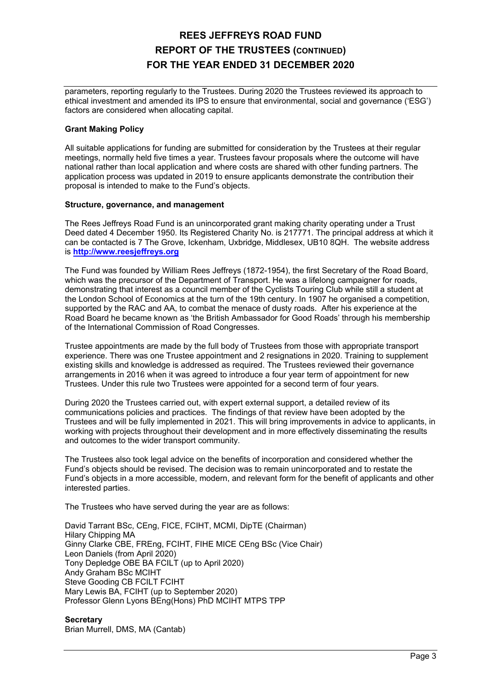### **REES JEFFREYS ROAD FUND REPORT OF THE TRUSTEES (CONTINUED) FOR THE YEAR ENDED 31 DECEMBER 2020**

parameters, reporting regularly to the Trustees. During 2020 the Trustees reviewed its approach to ethical investment and amended its IPS to ensure that environmental, social and governance ('ESG') factors are considered when allocating capital.

### **Grant Making Policy**

All suitable applications for funding are submitted for consideration by the Trustees at their regular meetings, normally held five times a year. Trustees favour proposals where the outcome will have national rather than local application and where costs are shared with other funding partners. The application process was updated in 2019 to ensure applicants demonstrate the contribution their proposal is intended to make to the Fund's objects.

### **Structure, governance, and management**

The Rees Jeffreys Road Fund is an unincorporated grant making charity operating under a Trust Deed dated 4 December 1950. Its Registered Charity No. is 217771. The principal address at which it can be contacted is 7 The Grove, Ickenham, Uxbridge, Middlesex, UB10 8QH. The website address is **http://www.reesjeffreys.org**

The Fund was founded by William Rees Jeffreys (1872-1954), the first Secretary of the Road Board, which was the precursor of the Department of Transport. He was a lifelong campaigner for roads, demonstrating that interest as a council member of the Cyclists Touring Club while still a student at the London School of Economics at the turn of the 19th century. In 1907 he organised a competition, supported by the RAC and AA, to combat the menace of dusty roads. After his experience at the Road Board he became known as 'the British Ambassador for Good Roads' through his membership of the International Commission of Road Congresses.

Trustee appointments are made by the full body of Trustees from those with appropriate transport experience. There was one Trustee appointment and 2 resignations in 2020. Training to supplement existing skills and knowledge is addressed as required. The Trustees reviewed their governance arrangements in 2016 when it was agreed to introduce a four year term of appointment for new Trustees. Under this rule two Trustees were appointed for a second term of four years.

During 2020 the Trustees carried out, with expert external support, a detailed review of its communications policies and practices. The findings of that review have been adopted by the Trustees and will be fully implemented in 2021. This will bring improvements in advice to applicants, in working with projects throughout their development and in more effectively disseminating the results and outcomes to the wider transport community.

The Trustees also took legal advice on the benefits of incorporation and considered whether the Fund's objects should be revised. The decision was to remain unincorporated and to restate the Fund's objects in a more accessible, modern, and relevant form for the benefit of applicants and other interested parties.

The Trustees who have served during the year are as follows:

David Tarrant BSc, CEng, FICE, FCIHT, MCMI, DipTE (Chairman) Hilary Chipping MA Ginny Clarke CBE, FREng, FCIHT, FIHE MICE CEng BSc (Vice Chair) Leon Daniels (from April 2020) Tony Depledge OBE BA FCILT (up to April 2020) Andy Graham BSc MCIHT Steve Gooding CB FCILT FCIHT Mary Lewis BA, FCIHT (up to September 2020) Professor Glenn Lyons BEng(Hons) PhD MCIHT MTPS TPP

### **Secretary**

Brian Murrell, DMS, MA (Cantab)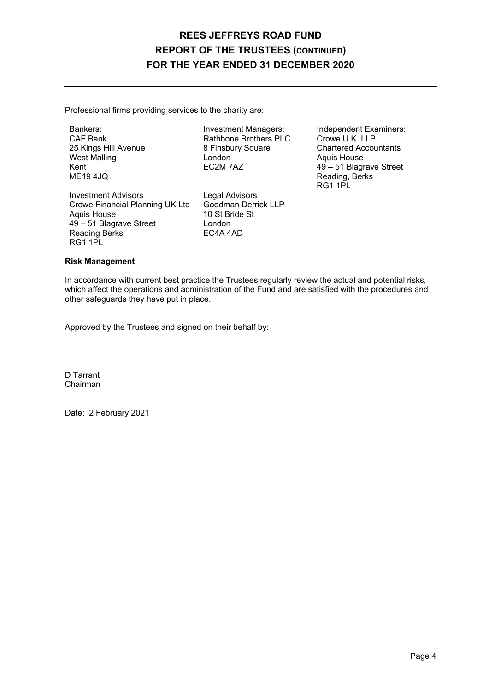### **REES JEFFREYS ROAD FUND REPORT OF THE TRUSTEES (CONTINUED) FOR THE YEAR ENDED 31 DECEMBER 2020**

Professional firms providing services to the charity are:

CAF Bank Rathbone Brothers PLC<br>
25 Kings Hill Avenue 8 Finsbury Square 8 Finsbury Square Chartered Accountants<br>
London Chartered Accountants<br>
Aquis House West Malling London Aquis House

Investment Advisors<br>
Crowe Financial Planning UK Ltd Goodman Derrick LLP Crowe Financial Planning UK Ltd Aquis House 10 St Bride St 49 – 51 Blagrave Street London<br>Reading Berks (EC4A 4AD) Reading Berks RG1 1PL

Bankers: Investment Managers: Independent Examiners:<br>
CAF Bank Rathbone Brothers PLC Crowe U.K. LLP Kent **EC2M 7AZ** 49 – 51 Blagrave Street ME19 4JO Reading, Berks<br>RG1 1PL RG1 1PL

### **Risk Management**

In accordance with current best practice the Trustees regularly review the actual and potential risks, which affect the operations and administration of the Fund and are satisfied with the procedures and other safeguards they have put in place.

Approved by the Trustees and signed on their behalf by:

D Tarrant Chairman

Date: 2 February 2021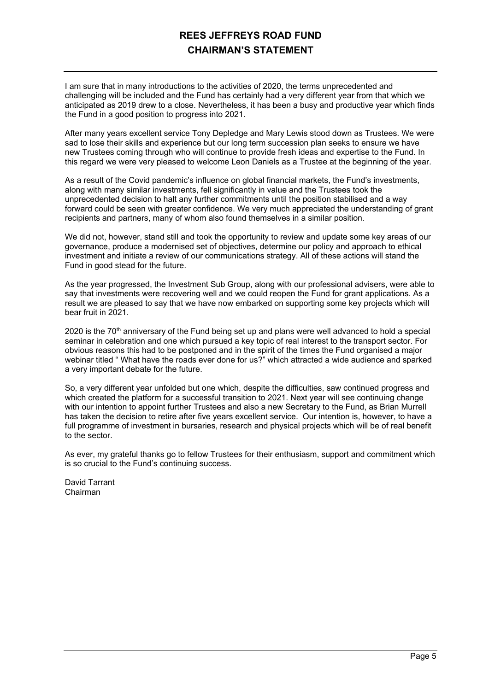### **REES JEFFREYS ROAD FUND CHAIRMAN'S STATEMENT**

I am sure that in many introductions to the activities of 2020, the terms unprecedented and challenging will be included and the Fund has certainly had a very different year from that which we anticipated as 2019 drew to a close. Nevertheless, it has been a busy and productive year which finds the Fund in a good position to progress into 2021.

After many years excellent service Tony Depledge and Mary Lewis stood down as Trustees. We were sad to lose their skills and experience but our long term succession plan seeks to ensure we have new Trustees coming through who will continue to provide fresh ideas and expertise to the Fund. In this regard we were very pleased to welcome Leon Daniels as a Trustee at the beginning of the year.

As a result of the Covid pandemic's influence on global financial markets, the Fund's investments, along with many similar investments, fell significantly in value and the Trustees took the unprecedented decision to halt any further commitments until the position stabilised and a way forward could be seen with greater confidence. We very much appreciated the understanding of grant recipients and partners, many of whom also found themselves in a similar position.

We did not, however, stand still and took the opportunity to review and update some key areas of our governance, produce a modernised set of objectives, determine our policy and approach to ethical investment and initiate a review of our communications strategy. All of these actions will stand the Fund in good stead for the future.

As the year progressed, the Investment Sub Group, along with our professional advisers, were able to say that investments were recovering well and we could reopen the Fund for grant applications. As a result we are pleased to say that we have now embarked on supporting some key projects which will bear fruit in 2021.

2020 is the  $70<sup>th</sup>$  anniversary of the Fund being set up and plans were well advanced to hold a special seminar in celebration and one which pursued a key topic of real interest to the transport sector. For obvious reasons this had to be postponed and in the spirit of the times the Fund organised a major webinar titled " What have the roads ever done for us?" which attracted a wide audience and sparked a very important debate for the future.

So, a very different year unfolded but one which, despite the difficulties, saw continued progress and which created the platform for a successful transition to 2021. Next year will see continuing change with our intention to appoint further Trustees and also a new Secretary to the Fund, as Brian Murrell has taken the decision to retire after five years excellent service. Our intention is, however, to have a full programme of investment in bursaries, research and physical projects which will be of real benefit to the sector.

As ever, my grateful thanks go to fellow Trustees for their enthusiasm, support and commitment which is so crucial to the Fund's continuing success.

David Tarrant Chairman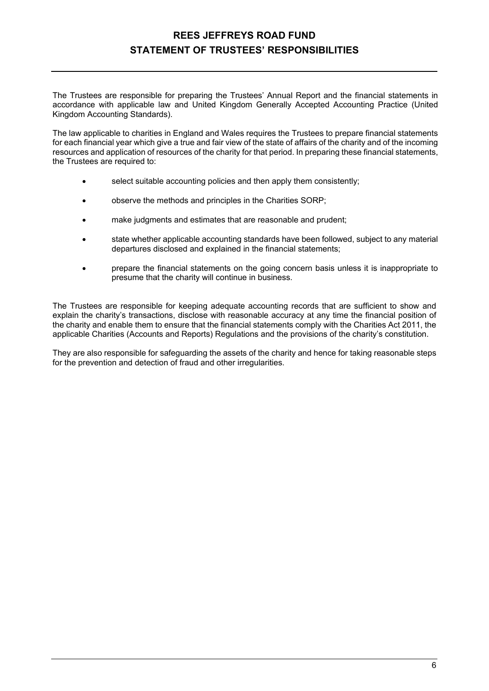### **REES JEFFREYS ROAD FUND STATEMENT OF TRUSTEES' RESPONSIBILITIES**

The Trustees are responsible for preparing the Trustees' Annual Report and the financial statements in accordance with applicable law and United Kingdom Generally Accepted Accounting Practice (United Kingdom Accounting Standards).

The law applicable to charities in England and Wales requires the Trustees to prepare financial statements for each financial year which give a true and fair view of the state of affairs of the charity and of the incoming resources and application of resources of the charity for that period. In preparing these financial statements, the Trustees are required to:

- select suitable accounting policies and then apply them consistently;
- observe the methods and principles in the Charities SORP;
- make judgments and estimates that are reasonable and prudent;
- state whether applicable accounting standards have been followed, subject to any material departures disclosed and explained in the financial statements;
- prepare the financial statements on the going concern basis unless it is inappropriate to presume that the charity will continue in business.

The Trustees are responsible for keeping adequate accounting records that are sufficient to show and explain the charity's transactions, disclose with reasonable accuracy at any time the financial position of the charity and enable them to ensure that the financial statements comply with the Charities Act 2011, the applicable Charities (Accounts and Reports) Regulations and the provisions of the charity's constitution.

They are also responsible for safeguarding the assets of the charity and hence for taking reasonable steps for the prevention and detection of fraud and other irregularities.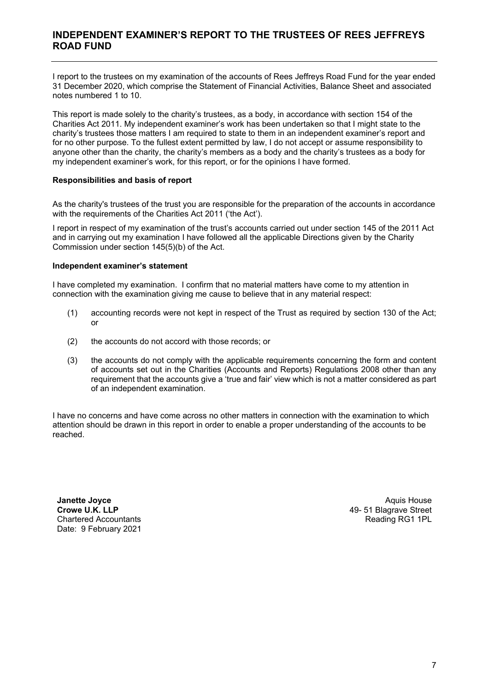### **INDEPENDENT EXAMINER'S REPORT TO THE TRUSTEES OF REES JEFFREYS ROAD FUND**

I report to the trustees on my examination of the accounts of Rees Jeffreys Road Fund for the year ended 31 December 2020, which comprise the Statement of Financial Activities, Balance Sheet and associated notes numbered 1 to 10.

This report is made solely to the charity's trustees, as a body, in accordance with section 154 of the Charities Act 2011. My independent examiner's work has been undertaken so that I might state to the charity's trustees those matters I am required to state to them in an independent examiner's report and for no other purpose. To the fullest extent permitted by law, I do not accept or assume responsibility to anyone other than the charity, the charity's members as a body and the charity's trustees as a body for my independent examiner's work, for this report, or for the opinions I have formed.

### **Responsibilities and basis of report**

As the charity's trustees of the trust you are responsible for the preparation of the accounts in accordance with the requirements of the Charities Act 2011 ('the Act').

I report in respect of my examination of the trust's accounts carried out under section 145 of the 2011 Act and in carrying out my examination I have followed all the applicable Directions given by the Charity Commission under section 145(5)(b) of the Act.

### **Independent examiner's statement**

I have completed my examination. I confirm that no material matters have come to my attention in connection with the examination giving me cause to believe that in any material respect:

- (1) accounting records were not kept in respect of the Trust as required by section 130 of the Act; or
- (2) the accounts do not accord with those records; or
- (3) the accounts do not comply with the applicable requirements concerning the form and content of accounts set out in the Charities (Accounts and Reports) Regulations 2008 other than any requirement that the accounts give a 'true and fair' view which is not a matter considered as part of an independent examination.

I have no concerns and have come across no other matters in connection with the examination to which attention should be drawn in this report in order to enable a proper understanding of the accounts to be reached.

**Janette Joyce Crowe U.K. LLP**  Chartered Accountants Date: 9 February 2021

Aquis House 49- 51 Blagrave Street Reading RG1 1PL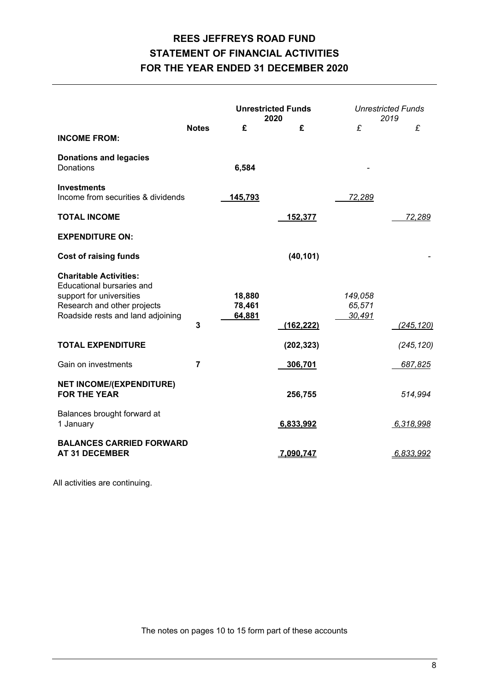# **REES JEFFREYS ROAD FUND STATEMENT OF FINANCIAL ACTIVITIES FOR THE YEAR ENDED 31 DECEMBER 2020**

|                                                                                                                                                            |                |                            | <b>Unrestricted Funds</b><br>2020 |                             | <b>Unrestricted Funds</b><br>2019 |
|------------------------------------------------------------------------------------------------------------------------------------------------------------|----------------|----------------------------|-----------------------------------|-----------------------------|-----------------------------------|
| <b>INCOME FROM:</b>                                                                                                                                        | <b>Notes</b>   | £                          | £                                 | £                           | £                                 |
| <b>Donations and legacies</b><br><b>Donations</b>                                                                                                          |                | 6,584                      |                                   |                             |                                   |
| <b>Investments</b><br>Income from securities & dividends                                                                                                   |                | 145,793                    |                                   | 72,289                      |                                   |
| <b>TOTAL INCOME</b>                                                                                                                                        |                |                            | 152,377                           |                             | 72,289                            |
| <b>EXPENDITURE ON:</b>                                                                                                                                     |                |                            |                                   |                             |                                   |
| <b>Cost of raising funds</b>                                                                                                                               |                |                            | (40, 101)                         |                             |                                   |
| <b>Charitable Activities:</b><br>Educational bursaries and<br>support for universities<br>Research and other projects<br>Roadside rests and land adjoining | 3              | 18,880<br>78,461<br>64,881 | (162, 222)                        | 149,058<br>65,571<br>30,491 | (245, 120)                        |
| <b>TOTAL EXPENDITURE</b>                                                                                                                                   |                |                            | (202, 323)                        |                             | (245, 120)                        |
| Gain on investments                                                                                                                                        | $\overline{7}$ |                            | 306,701                           |                             | 687,825                           |
| <b>NET INCOME/(EXPENDITURE)</b><br><b>FOR THE YEAR</b>                                                                                                     |                |                            | 256,755                           |                             | 514,994                           |
| Balances brought forward at<br>1 January                                                                                                                   |                |                            | 6,833,992                         |                             | 6,318,998                         |
| <b>BALANCES CARRIED FORWARD</b><br><b>AT 31 DECEMBER</b>                                                                                                   |                |                            | 7,090,747                         |                             | 6,833,992                         |

All activities are continuing.

The notes on pages 10 to 15 form part of these accounts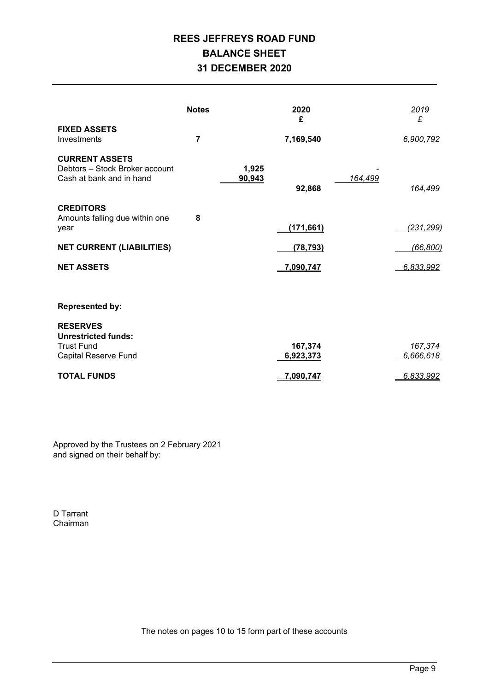# **REES JEFFREYS ROAD FUND BALANCE SHEET 31 DECEMBER 2020**

|                                                                                                   | <b>Notes</b>   |                 | 2020<br>£            |         | 2019<br>£            |
|---------------------------------------------------------------------------------------------------|----------------|-----------------|----------------------|---------|----------------------|
| <b>FIXED ASSETS</b><br>Investments                                                                | $\overline{7}$ |                 | 7,169,540            |         | 6,900,792            |
| <b>CURRENT ASSETS</b><br>Debtors - Stock Broker account<br>Cash at bank and in hand               |                | 1,925<br>90,943 | 92,868               | 164,499 | 164,499              |
| <b>CREDITORS</b><br>Amounts falling due within one<br>year                                        | 8              |                 | (171, 661)           |         | (231, 299)           |
| <b>NET CURRENT (LIABILITIES)</b>                                                                  |                |                 | (78, 793)            |         | (66, 800)            |
| <b>NET ASSETS</b>                                                                                 |                |                 | 7,090,747            |         | 6,833,992            |
|                                                                                                   |                |                 |                      |         |                      |
| <b>Represented by:</b>                                                                            |                |                 |                      |         |                      |
| <b>RESERVES</b><br><b>Unrestricted funds:</b><br><b>Trust Fund</b><br><b>Capital Reserve Fund</b> |                |                 | 167,374<br>6,923,373 |         | 167,374<br>6,666,618 |
| <b>TOTAL FUNDS</b>                                                                                |                |                 | 7.090.747            |         | 6,833,992            |

Approved by the Trustees on 2 February 2021 and signed on their behalf by:

D Tarrant Chairman

The notes on pages 10 to 15 form part of these accounts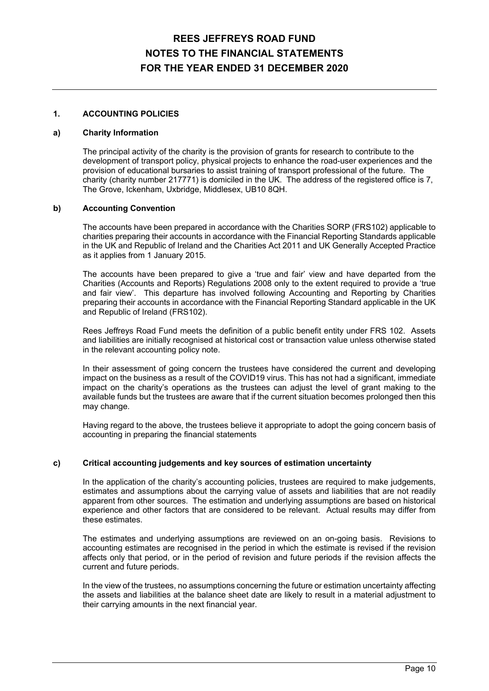### **1. ACCOUNTING POLICIES**

#### **a) Charity Information**

 The principal activity of the charity is the provision of grants for research to contribute to the development of transport policy, physical projects to enhance the road-user experiences and the provision of educational bursaries to assist training of transport professional of the future. The charity (charity number 217771) is domiciled in the UK. The address of the registered office is 7, The Grove, Ickenham, Uxbridge, Middlesex, UB10 8QH.

### **b) Accounting Convention**

 The accounts have been prepared in accordance with the Charities SORP (FRS102) applicable to charities preparing their accounts in accordance with the Financial Reporting Standards applicable in the UK and Republic of Ireland and the Charities Act 2011 and UK Generally Accepted Practice as it applies from 1 January 2015.

 The accounts have been prepared to give a 'true and fair' view and have departed from the Charities (Accounts and Reports) Regulations 2008 only to the extent required to provide a 'true and fair view'. This departure has involved following Accounting and Reporting by Charities preparing their accounts in accordance with the Financial Reporting Standard applicable in the UK and Republic of Ireland (FRS102).

 Rees Jeffreys Road Fund meets the definition of a public benefit entity under FRS 102. Assets and liabilities are initially recognised at historical cost or transaction value unless otherwise stated in the relevant accounting policy note.

 In their assessment of going concern the trustees have considered the current and developing impact on the business as a result of the COVID19 virus. This has not had a significant, immediate impact on the charity's operations as the trustees can adjust the level of grant making to the available funds but the trustees are aware that if the current situation becomes prolonged then this may change.

 Having regard to the above, the trustees believe it appropriate to adopt the going concern basis of accounting in preparing the financial statements

### **c) Critical accounting judgements and key sources of estimation uncertainty**

 In the application of the charity's accounting policies, trustees are required to make judgements, estimates and assumptions about the carrying value of assets and liabilities that are not readily apparent from other sources. The estimation and underlying assumptions are based on historical experience and other factors that are considered to be relevant. Actual results may differ from these estimates.

 The estimates and underlying assumptions are reviewed on an on-going basis. Revisions to accounting estimates are recognised in the period in which the estimate is revised if the revision affects only that period, or in the period of revision and future periods if the revision affects the current and future periods.

 In the view of the trustees, no assumptions concerning the future or estimation uncertainty affecting the assets and liabilities at the balance sheet date are likely to result in a material adjustment to their carrying amounts in the next financial year.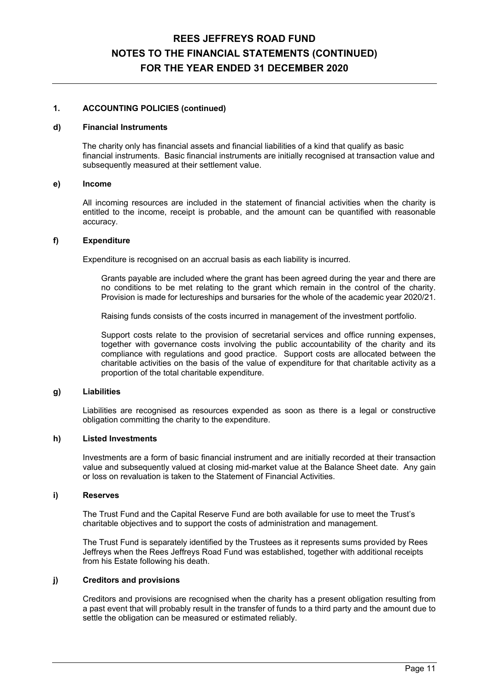### **1. ACCOUNTING POLICIES (continued)**

#### **d) Financial Instruments**

The charity only has financial assets and financial liabilities of a kind that qualify as basic financial instruments. Basic financial instruments are initially recognised at transaction value and subsequently measured at their settlement value.

#### **e) Income**

 All incoming resources are included in the statement of financial activities when the charity is entitled to the income, receipt is probable, and the amount can be quantified with reasonable accuracy.

#### **f) Expenditure**

Expenditure is recognised on an accrual basis as each liability is incurred.

 Grants payable are included where the grant has been agreed during the year and there are no conditions to be met relating to the grant which remain in the control of the charity. Provision is made for lectureships and bursaries for the whole of the academic year 2020/21.

Raising funds consists of the costs incurred in management of the investment portfolio.

 Support costs relate to the provision of secretarial services and office running expenses, together with governance costs involving the public accountability of the charity and its compliance with regulations and good practice. Support costs are allocated between the charitable activities on the basis of the value of expenditure for that charitable activity as a proportion of the total charitable expenditure.

### **g) Liabilities**

 Liabilities are recognised as resources expended as soon as there is a legal or constructive obligation committing the charity to the expenditure.

#### **h) Listed Investments**

 Investments are a form of basic financial instrument and are initially recorded at their transaction value and subsequently valued at closing mid-market value at the Balance Sheet date. Any gain or loss on revaluation is taken to the Statement of Financial Activities.

#### **i) Reserves**

The Trust Fund and the Capital Reserve Fund are both available for use to meet the Trust's charitable objectives and to support the costs of administration and management.

The Trust Fund is separately identified by the Trustees as it represents sums provided by Rees Jeffreys when the Rees Jeffreys Road Fund was established, together with additional receipts from his Estate following his death.

#### **j) Creditors and provisions**

 Creditors and provisions are recognised when the charity has a present obligation resulting from a past event that will probably result in the transfer of funds to a third party and the amount due to settle the obligation can be measured or estimated reliably.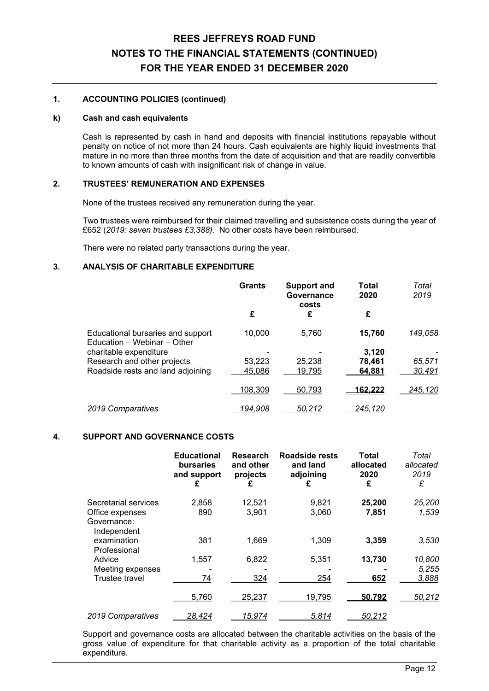### **1. ACCOUNTING POLICIES (continued)**

#### **k) Cash and cash equivalents**

 Cash is represented by cash in hand and deposits with financial institutions repayable without penalty on notice of not more than 24 hours. Cash equivalents are highly liquid investments that mature in no more than three months from the date of acquisition and that are readily convertible to known amounts of cash with insignificant risk of change in value.

### **2. TRUSTEES' REMUNERATION AND EXPENSES**

None of the trustees received any remuneration during the year.

 Two trustees were reimbursed for their claimed travelling and subsistence costs during the year of £652 (*2019: seven trustees £3,388)*. No other costs have been reimbursed.

There were no related party transactions during the year.

### **3. ANALYSIS OF CHARITABLE EXPENDITURE**

|                                                                  | <b>Grants</b>  | <b>Support and</b><br>Governance<br>costs | Total<br>2020  | Total<br>2019  |
|------------------------------------------------------------------|----------------|-------------------------------------------|----------------|----------------|
|                                                                  | £              | £                                         | £              |                |
| Educational bursaries and support<br>Education - Webinar - Other | 10,000         | 5,760                                     | 15,760         | 149,058        |
| charitable expenditure                                           |                |                                           | 3.120          |                |
| Research and other projects                                      | 53.223         | 25,238                                    | 78,461         | 65,571         |
| Roadside rests and land adjoining                                | 45,086         | 19,795                                    | 64,881         | 30,491         |
|                                                                  | <u>108,309</u> | 50,793                                    | <u>162.222</u> | <u>245,120</u> |
| 2019 Comparatives                                                | 194.908        | <u>50,212</u>                             | 245.120        |                |

### **4. SUPPORT AND GOVERNANCE COSTS**

|                                                                       | <b>Educational</b><br><b>bursaries</b><br>and support<br>£ | Research<br>and other<br>projects<br>£ | Roadside rests<br>and land<br>adjoining<br>£ | Total<br>allocated<br>2020<br>£ | Total<br>allocated<br>2019<br>£ |
|-----------------------------------------------------------------------|------------------------------------------------------------|----------------------------------------|----------------------------------------------|---------------------------------|---------------------------------|
| Secretarial services<br>Office expenses<br>Governance:<br>Independent | 2,858<br>890                                               | 12,521<br>3,901                        | 9,821<br>3,060                               | 25,200<br>7,851                 | 25,200<br>1,539                 |
| examination<br>Professional                                           | 381                                                        | 1,669                                  | 1,309                                        | 3,359                           | 3,530                           |
| Advice<br>Meeting expenses<br>Trustee travel                          | 1,557<br>74                                                | 6,822<br>324                           | 5,351<br>254                                 | 13,730<br>652                   | 10,800<br>5,255<br>3,888        |
|                                                                       | 5,760                                                      | 25,237                                 | 19,795                                       | 50.792                          | 50,212                          |
| 2019 Comparatives                                                     | <u>28,424</u>                                              | <u> 15,974</u>                         | 5,814                                        | <u>50,212</u>                   |                                 |

 Support and governance costs are allocated between the charitable activities on the basis of the gross value of expenditure for that charitable activity as a proportion of the total charitable expenditure.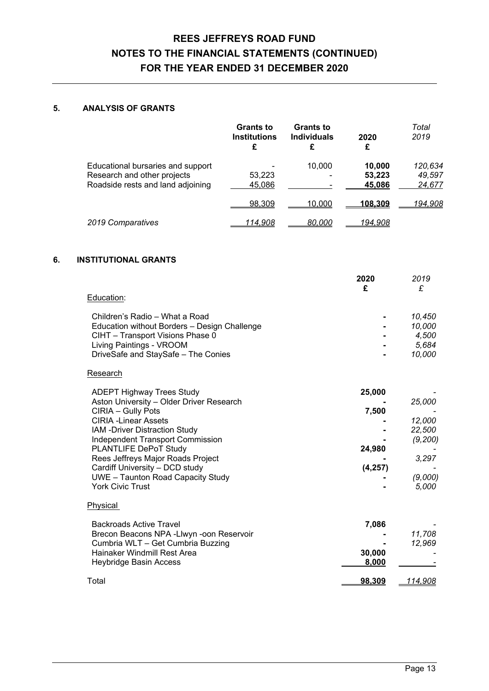### **5. ANALYSIS OF GRANTS**

|                                                                                                       | <b>Grants to</b><br><b>Institutions</b><br>£ | <b>Grants to</b><br><b>Individuals</b><br>£ | 2020<br>£                  | Total<br>2019               |
|-------------------------------------------------------------------------------------------------------|----------------------------------------------|---------------------------------------------|----------------------------|-----------------------------|
| Educational bursaries and support<br>Research and other projects<br>Roadside rests and land adjoining | 53,223<br>45,086                             | 10.000                                      | 10,000<br>53,223<br>45,086 | 120,634<br>49,597<br>24,677 |
|                                                                                                       | 98,309                                       | 10.000                                      | <u> 108.309</u>            | 194,908                     |
| 2019 Comparatives                                                                                     | <u>114,908</u>                               | <u>80,000</u>                               | <u>194.908</u>             |                             |

### **6. INSTITUTIONAL GRANTS**

|                                                              | 2020<br>£ | 2019<br>£      |
|--------------------------------------------------------------|-----------|----------------|
| Education:                                                   |           |                |
|                                                              |           |                |
| Children's Radio - What a Road                               |           | 10,450         |
| Education without Borders - Design Challenge                 |           | 10,000         |
| CIHT - Transport Visions Phase 0<br>Living Paintings - VROOM |           | 4,500<br>5,684 |
| DriveSafe and StaySafe - The Conies                          |           | 10,000         |
|                                                              |           |                |
| Research                                                     |           |                |
| <b>ADEPT Highway Trees Study</b>                             | 25,000    |                |
| Aston University - Older Driver Research                     |           | 25,000         |
| CIRIA - Gully Pots                                           | 7,500     |                |
| <b>CIRIA - Linear Assets</b>                                 |           | 12,000         |
| IAM - Driver Distraction Study                               |           | 22,500         |
| <b>Independent Transport Commission</b>                      |           | (9, 200)       |
| PLANTLIFE DePoT Study<br>Rees Jeffreys Major Roads Project   | 24,980    | 3,297          |
| Cardiff University - DCD study                               | (4, 257)  |                |
| <b>UWE</b> - Taunton Road Capacity Study                     |           | (9,000)        |
| <b>York Civic Trust</b>                                      |           | 5,000          |
| Physical                                                     |           |                |
| <b>Backroads Active Travel</b>                               | 7,086     |                |
| Brecon Beacons NPA - Llwyn - oon Reservoir                   |           | 11,708         |
| Cumbria WLT - Get Cumbria Buzzing                            |           | 12,969         |
| Hainaker Windmill Rest Area                                  | 30,000    |                |
| <b>Heybridge Basin Access</b>                                | 8,000     |                |
| Total                                                        | 98,309    | 114,908        |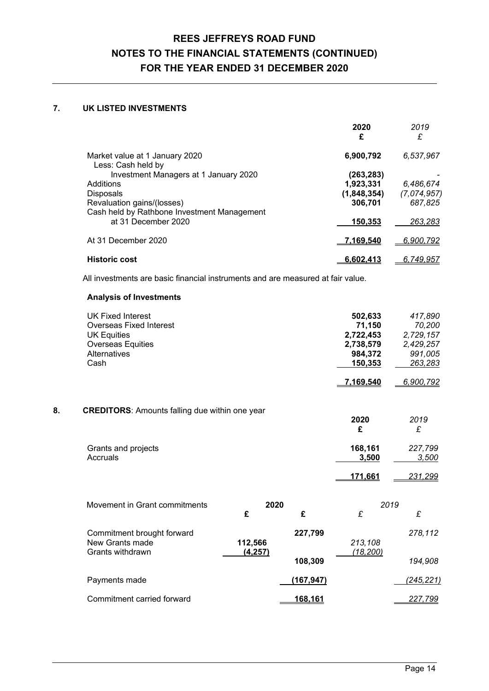### **7. UK LISTED INVESTMENTS**

| 2020<br>£   | 2019<br>£   |
|-------------|-------------|
| 6,900,792   | 6,537,967   |
| (263,283)   |             |
| 1,923,331   | 6,486,674   |
| (1,848,354) | (7,074,957) |
| 306,701     | 687,825     |
| 150,353     | 263.283     |
| 7.169.540   | 6,900,792   |
| 6.602.413   | 6.749.957   |
|             |             |

All investments are basic financial instruments and are measured at fair value.

### **Analysis of Investments**

|    | <b>UK Fixed Interest</b><br><b>Overseas Fixed Interest</b><br><b>UK Equities</b> |                     |                  | 502,633<br>71,150<br>2,722,453 | 417,890<br>70,200<br>2,729,157 |
|----|----------------------------------------------------------------------------------|---------------------|------------------|--------------------------------|--------------------------------|
|    | <b>Overseas Equities</b>                                                         |                     |                  | 2,738,579                      | 2,429,257                      |
|    | <b>Alternatives</b>                                                              |                     |                  | 984,372                        | 991,005                        |
|    | Cash                                                                             |                     |                  | 150,353                        | 263,283                        |
|    |                                                                                  |                     |                  | 7,169,540                      | 6,900,792                      |
| 8. | <b>CREDITORS:</b> Amounts falling due within one year                            |                     |                  |                                |                                |
|    |                                                                                  |                     |                  | 2020                           | 2019                           |
|    |                                                                                  |                     |                  | £                              | £                              |
|    | Grants and projects                                                              |                     |                  | 168,161                        | 227,799                        |
|    | Accruals                                                                         |                     |                  | 3,500                          | 3,500                          |
|    |                                                                                  |                     |                  | 171,661                        | <u>231,299</u>                 |
|    |                                                                                  |                     |                  |                                |                                |
|    | Movement in Grant commitments                                                    | 2020<br>£           | £                | 2019<br>£                      | £                              |
|    |                                                                                  |                     |                  |                                |                                |
|    | Commitment brought forward                                                       |                     | 227,799          |                                | 278,112                        |
|    | New Grants made<br>Grants withdrawn                                              | 112,566<br>(4, 257) |                  | 213,108<br>(18, 200)           |                                |
|    |                                                                                  |                     | 108,309          |                                | 194,908                        |
|    | Payments made                                                                    |                     | <u>(167,947)</u> |                                | (245, 221)                     |
|    | Commitment carried forward                                                       |                     | 168,161          |                                | 227,799                        |
|    |                                                                                  |                     |                  |                                |                                |